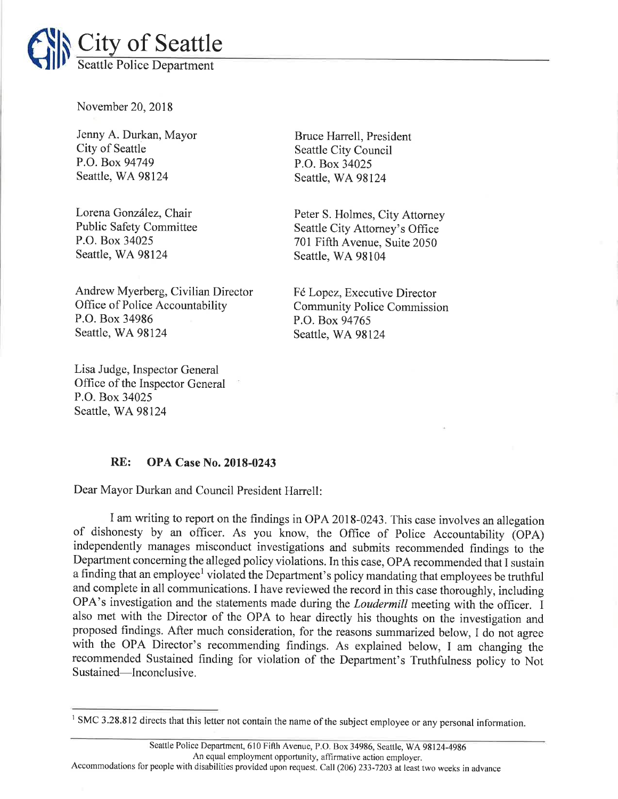

November 20,2018

Jenny A. Durkan, Mayor City of Seattle P.O. Box 94749 Seattle, WA 98124

Lorena González, Chair Public Safety Committee P.O. Box 34025 Seattle, WA 98124

Andrew Myerberg, Civilian Director Office of Police Accountability P.O. Box 34986 Seattle, WA 98124

Lisa Judge, Inspector General Office of the Inspector General P.O. Box 34025 Seattle, WA 98124

Bruce Harrell, President Seattle City Council P.O. Box 34025 Seattle, WA 98124

Peter S. Holmes, City Attorney Seattle City Attomey's Office 701 Fifth Avenue, Suite 2050 Seattle, WA 98104

F6 Lopez, Executive Director Community Police Commission P.O. Box 94765 Seattle, WA 98124

## RE: OPA Case No. 2018-0243

Dear Mayor Durkan and Council President Harrell:

I am writing to report on the findings in OPA 2018-0243. This case involves an allegation of dishonesty by an officer. As you know, the Office of Police Accountability (OPA) independently manages misconduct investigations and submits recommended findings to the Department concerning the alleged policy violations. In this case, OPA recommended that I sustain a finding that an employee<sup>1</sup> violated the Department's policy mandating that employees be truthful and complete in all communications. I have reviewed the record in this case thoroughly, including OPA's investigation and the statements made during the Loudermill meeting with the officer. I also met with the Director of the OPA to hear directly his thoughts on the investigation and proposed findings. After much consideration, for the reasons summarized below, I do not agree with the OPA Director's recommending findings. As explained below, I am changing the recommended Sustained finding for violation of the Department's Truthfulness policy to Not Sustained-Inconclusive.

<sup>&</sup>lt;sup>1</sup> SMC 3.28.812 directs that this letter not contain the name of the subject employee or any personal information.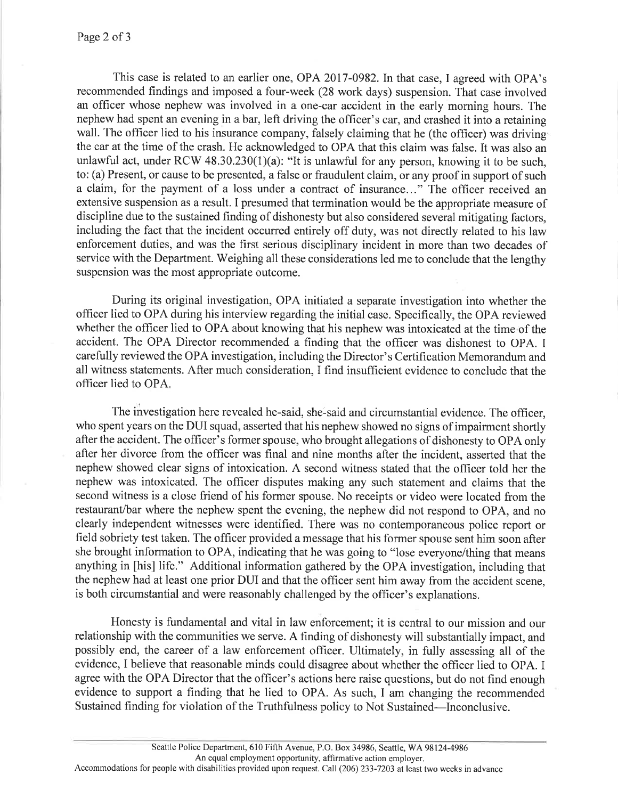This case is related to an earlier one, OPA 2017-0982. In that case, I agreed with OPA's recommended findings and imposed a four-week (28 work days) suspension. That case involved an officer whose nephew was involved in a one-car accident in the early moming hours. The nephew had spent an evening in a bar, left driving the officer's car, and crashed it into a retaining wall. The officer lied to his insurance company, falsely claiming that he (the officer) was driving the car at the time of the crash. He acknowledged to OPA that this claim was false. It was also an unlawful act, under RCW 48.30.230(1)(a): "It is unlawful for any person, knowing it to be such, to: (a) Present, or cause to be presented, a false or fraudulent claim, or any proof in support of such a claim, for the payment of a loss under a contract of insurance..." The officer received an extensive suspension as a result. I presumed that termination would be the appropriate measure of discipline due to the sustained finding of dishonesty but also considered several mitigating factors, including the fact that the incident occurred entirely off duty, was not directly related to his law enforcement duties, and was the first serious disciplinary incident in more than two decades of service with the Department. Weighing all these considerations led me to conclude that the lengthy suspension was the most appropriate outcome.

During its original investigation, OPA initiated a separate investigation into whether the officer lied to OPA during his interview regarding the initial case. Specifically, the OPA reviewed whether the officer lied to OPA about knowing that his nephew was intoxicated at the time of the accident. The OPA Director recommended a finding that the officer was dishonest to OPA. I carefully reviewed the OPA investigation, including the Director's Certification Memorandum and all witness statements. After much consideration, I find insufficient evidence to conclude that the officer lied to OPA.

The investigation here revealed he-said, she-said and circumstantial evidence. The officer, who spent years on the DUI squad, asserted that his nephew showed no signs of impairment shortly after the accident. The officer's former spouse, who brought allegations of dishonesty to OPA only after her divorce from the officer was final and nine months after the incident, asserted that the nephew showed clear signs of intoxication. A second witness stated that the officer told her the nephew was intoxicated. The officer disputes making any such statement and claims that the second witness is a close friend of his former spouse. No receipts or video were located from the restaurant/bar where the nephew spent the evening, the nephew did not respond to OPA, and no clearly independent witnesses were identified. There was no contemporaneous police report or field sobriety test taken. The officer provided a message that his former spouse sent him soon after she brought information to OPA, indicating that he was going to "lose everyone/thing that means anything in [his] life." Additional information gathered by the OPA investigation, including that the nephew had at least one prior DUI and that the officer sent him away from the accident scene, is both circumstantial and were reasonably challenged by the officer's explanations.

Honesty is fundamental and vital in law enforcement; it is central to our mission and our relationship with the communities we serve. A finding of dishonesty will substantially impact, and possibly end, the career of a law enforcement officer. Ultimately, in fully assessing all of the evidence, I believe that reasonable minds could disagree about whether the officer lied to OPA. I agree with the OPA Director that the officer's actions here raise questions, but do not find enough evidence to support a finding that he lied to OPA. As such, I am changing the recommended Sustained finding for violation of the Truthfulness policy to Not Sustained-Inconclusive.